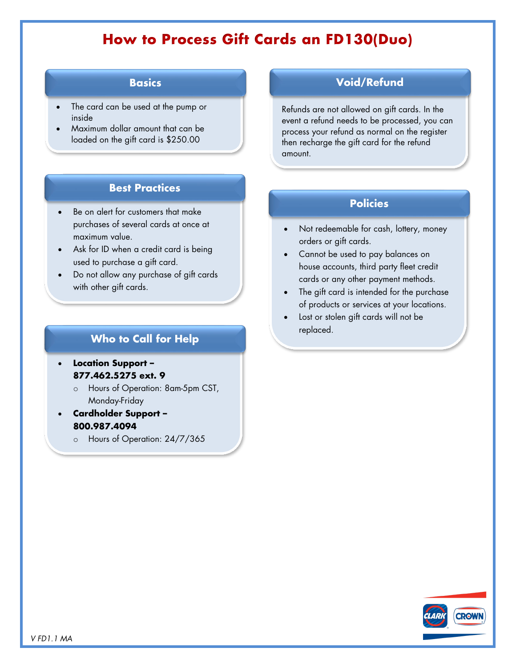# **How to Process Gift Cards an FD130(Duo)**

## **Basics**

- The card can be used at the pump or inside
- Maximum dollar amount that can be loaded on the gift card is \$250.00

# **Best Practices**

- **Policies Policies Policies** purchases of several cards at once at maximum value.
- Ask for ID when a credit card is being used to purchase a gift card.
- Do not allow any purchase of gift cards with other gift cards.

## **Who to Call for Help**

- **Location Support – 877.462.5275 ext. 9**
	- o Hours of Operation: 8am-5pm CST, Monday-Friday
	- **Cardholder Support – 800.987.4094**
		- o Hours of Operation: 24/7/365

## **Void/Refund**

Refunds are not allowed on gift cards. In the event a refund needs to be processed, you can process your refund as normal on the register then recharge the gift card for the refund amount.

- Not redeemable for cash, lottery, money orders or gift cards.
- Cannot be used to pay balances on house accounts, third party fleet credit cards or any other payment methods.
- The gift card is intended for the purchase of products or services at your locations.
- Lost or stolen gift cards will not be replaced.